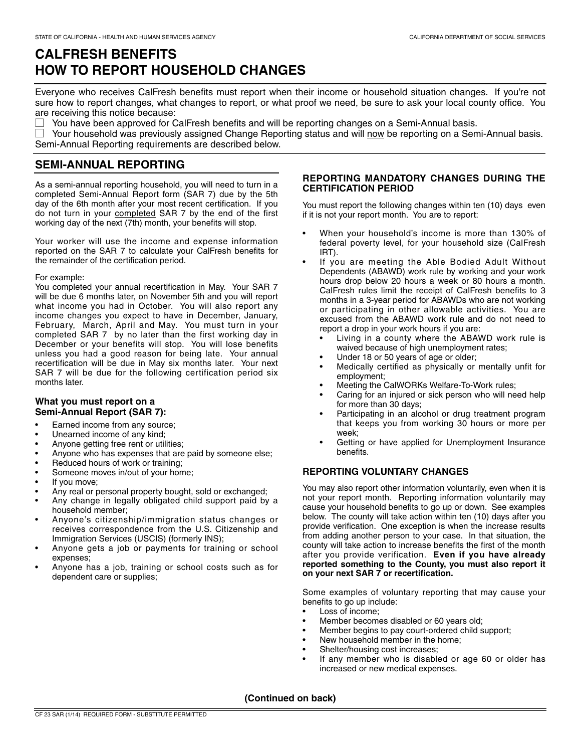# **CALFRESH BENEFITS HOW TO REPORT HOUSEHOLD CHANGES**

Everyone who receives CalFresh benefits must report when their income or household situation changes. If you're not sure how to report changes, what changes to report, or what proof we need, be sure to ask your local county office. You are receiving this notice because:

 $\Box$  You have been approved for CalFresh benefits and will be reporting changes on a Semi-Annual basis.

 $\Box$  Your household was previously assigned Change Reporting status and will now be reporting on a Semi-Annual basis. Semi-Annual Reporting requirements are described below.

## **SEMI-ANNUAL REPORTING**

As a semi-annual reporting household, you will need to turn in a completed Semi-Annual Report form (SAR 7) due by the 5th day of the 6th month after your most recent certification. If you do not turn in your completed SAR 7 by the end of the first working day of the next (7th) month, your benefits will stop.

Your worker will use the income and expense information reported on the SAR 7 to calculate your CalFresh benefits for the remainder of the certification period.

#### For example:

You completed your annual recertification in May. Your SAR 7 will be due 6 months later, on November 5th and you will report what income you had in October. You will also report any income changes you expect to have in December, January, February, March, April and May. You must turn in your completed SAR 7 by no later than the first working day in December or your benefits will stop. You will lose benefits unless you had a good reason for being late. Your annual recertification will be due in May six months later. Your next SAR 7 will be due for the following certification period six months later.

#### **What you must report on a Semi-Annual Report (SAR 7):**

- Earned income from any source;
- Unearned income of any kind;
- Anyone getting free rent or utilities;
- Anyone who has expenses that are paid by someone else;
- Reduced hours of work or training;
- Someone moves in/out of your home;
- If you move:
- Any real or personal property bought, sold or exchanged;
- Any change in legally obligated child support paid by a household member;
- Anyone's citizenship/immigration status changes or receives correspondence from the U.S. Citizenship and Immigration Services (USCIS) (formerly INS);
- Anyone gets a job or payments for training or school expenses;
- Anyone has a job, training or school costs such as for dependent care or supplies;

#### **REPORTING MANDATORY CHANGES DURING THE CERTIFICATION PERIOD**

You must report the following changes within ten (10) days even if it is not your report month. You are to report:

- When your household's income is more than 130% of federal poverty level, for your household size (CalFresh IRT).
- If you are meeting the Able Bodied Adult Without Dependents (ABAWD) work rule by working and your work hours drop below 20 hours a week or 80 hours a month. CalFresh rules limit the receipt of CalFresh benefits to 3 months in a 3-year period for ABAWDs who are not working or participating in other allowable activities. You are excused from the ABAWD work rule and do not need to report a drop in your work hours if you are:
	- Living in a county where the ABAWD work rule is waived because of high unemployment rates;
	- Under 18 or 50 years of age or older;
	- Medically certified as physically or mentally unfit for employment;
	- Meeting the CalWORKs Welfare-To-Work rules;
	- Caring for an injured or sick person who will need help for more than 30 days;
	- Participating in an alcohol or drug treatment program that keeps you from working 30 hours or more per week;
	- Getting or have applied for Unemployment Insurance benefits.

#### **REPORTING VOLUNTARY CHANGES**

You may also report other information voluntarily, even when it is not your report month. Reporting information voluntarily may cause your household benefits to go up or down. See examples below. The county will take action within ten (10) days after you provide verification. One exception is when the increase results from adding another person to your case. In that situation, the county will take action to increase benefits the first of the month after you provide verification. **Even if you have already reported something to the County, you must also report it on your next SAR 7 or recertification.**

Some examples of voluntary reporting that may cause your benefits to go up include:

- Loss of income;
- Member becomes disabled or 60 years old;
- Member begins to pay court-ordered child support;
- New household member in the home;
- Shelter/housing cost increases;
- If any member who is disabled or age 60 or older has increased or new medical expenses.